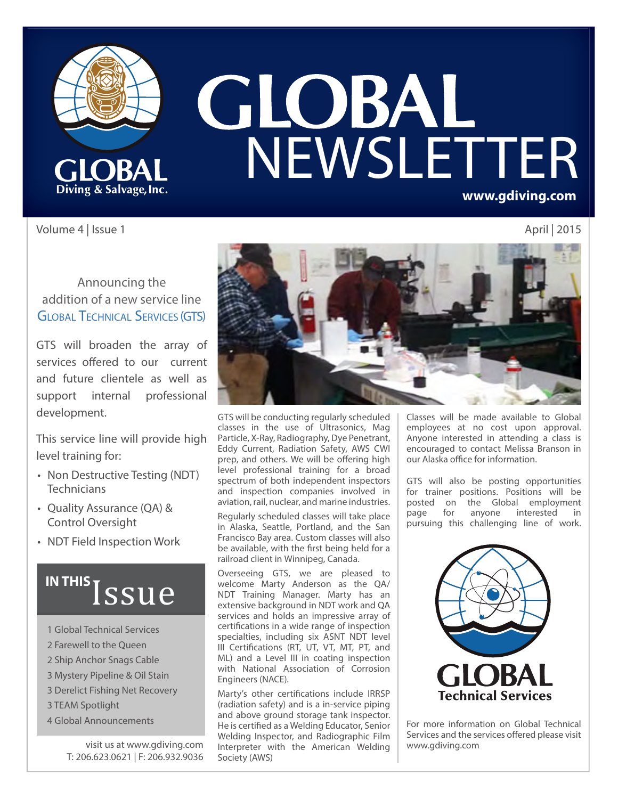

# **GLOBAL<br>NEWSLETTER www.gdiving.com**

Volume 4 | Issue 1 April | 2015

#### Announcing the addition of a new service line **GLOBAL TECHNICAL SERVICES (GTS)**

GTS will broaden the array of services offered to our current and future clientele as well as support internal professional development.

This service line will provide high level training for:

- Non Destructive Testing (NDT) **Technicians**
- Quality Assurance (QA) & Control Oversight
- NDT Field Inspection Work

## IN THIS *SSUE*

- 1 Global Technical Services
- 2 Farewell to the Queen
- 2 Ship Anchor Snags Cable
- 3 Mystery Pipeline & Oil Stain
- 3 Derelict Fishing Net Recovery
- 3 TEAM Spotlight
- 4 Global Announcements

visit us at www.gdiving.com T: 206.623.0621 | F: 206.932.9036



GTS will be conducting regularly scheduled classes in the use of Ultrasonics, Mag Particle, X-Ray, Radiography, Dye Penetrant, Eddy Current, Radiation Safety, AWS CWI prep, and others. We will be offering high level professional training for a broad spectrum of both independent inspectors and inspection companies involved in aviation, rail, nuclear, and marine industries.

Regularly scheduled classes will take place in Alaska, Seattle, Portland, and the San Francisco Bay area. Custom classes will also be available, with the first being held for a railroad client in Winnipeg, Canada.

Overseeing GTS, we are pleased to welcome Marty Anderson as the QA/ NDT Training Manager. Marty has an extensive background in NDT work and QA services and holds an impressive array of certifications in a wide range of inspection specialties, including six ASNT NDT level III Certifications (RT, UT, VT, MT, PT, and ML) and a Level III in coating inspection with National Association of Corrosion Engineers (NACE).

Marty's other certifications include IRRSP (radiation safety) and is a in-service piping and above ground storage tank inspector. He is certified as a Welding Educator, Senior Welding Inspector, and Radiographic Film Interpreter with the American Welding Society (AWS)

Classes will be made available to Global employees at no cost upon approval. Anyone interested in attending a class is encouraged to contact Melissa Branson in our Alaska office for information.

GTS will also be posting opportunities for trainer positions. Positions will be posted on the Global employment<br>page for anyone interested in page for anyone interested in pursuing this challenging line of work.



For more information on Global Technical Services and the services offered please visit www.gdiving.com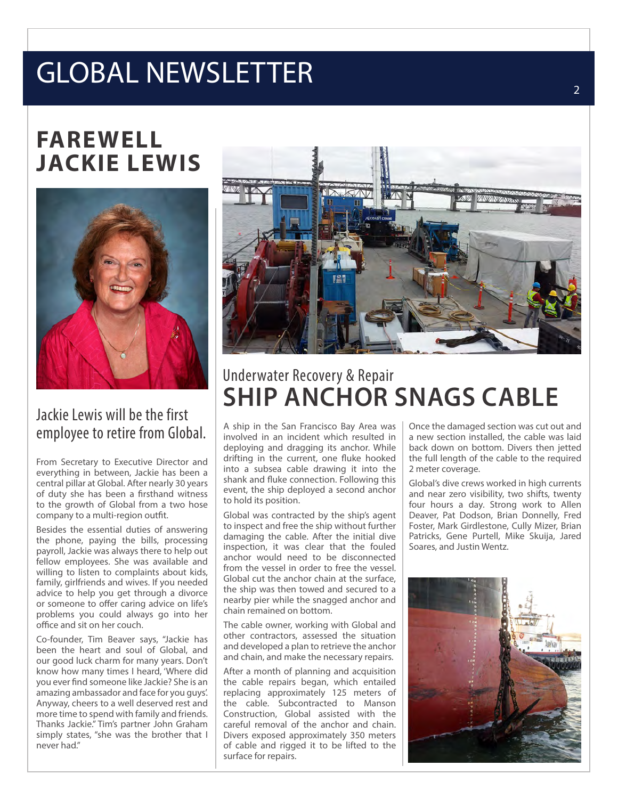## GLOBAL NEWSLETTER

## **FAREWELL JACKIE LEWIS**



#### Jackie Lewis will be the first employee to retire from Global.

From Secretary to Executive Director and everything in between, Jackie has been a central pillar at Global. After nearly 30 years of duty she has been a firsthand witness to the growth of Global from a two hose company to a multi-region outfit.

Besides the essential duties of answering the phone, paying the bills, processing payroll, Jackie was always there to help out fellow employees. She was available and willing to listen to complaints about kids, family, girlfriends and wives. If you needed advice to help you get through a divorce or someone to offer caring advice on life's problems you could always go into her office and sit on her couch.

Co-founder, Tim Beaver says, "Jackie has been the heart and soul of Global, and our good luck charm for many years. Don't know how many times I heard, 'Where did you ever find someone like Jackie? She is an amazing ambassador and face for you guys'. Anyway, cheers to a well deserved rest and more time to spend with family and friends. Thanks Jackie." Tim's partner John Graham simply states, "she was the brother that I never had."



### Underwater Recovery & Repair **SHIP ANCHOR SNAGS CABLE**

A ship in the San Francisco Bay Area was involved in an incident which resulted in deploying and dragging its anchor. While drifting in the current, one fluke hooked into a subsea cable drawing it into the shank and fluke connection. Following this event, the ship deployed a second anchor to hold its position.

Global was contracted by the ship's agent to inspect and free the ship without further damaging the cable. After the initial dive inspection, it was clear that the fouled anchor would need to be disconnected from the vessel in order to free the vessel. Global cut the anchor chain at the surface, the ship was then towed and secured to a nearby pier while the snagged anchor and chain remained on bottom.

The cable owner, working with Global and other contractors, assessed the situation and developed a plan to retrieve the anchor and chain, and make the necessary repairs.

After a month of planning and acquisition the cable repairs began, which entailed replacing approximately 125 meters of the cable. Subcontracted to Manson Construction, Global assisted with the careful removal of the anchor and chain. Divers exposed approximately 350 meters of cable and rigged it to be lifted to the surface for repairs.

Once the damaged section was cut out and a new section installed, the cable was laid back down on bottom. Divers then jetted the full length of the cable to the required 2 meter coverage.

Global's dive crews worked in high currents and near zero visibility, two shifts, twenty four hours a day. Strong work to Allen Deaver, Pat Dodson, Brian Donnelly, Fred Foster, Mark Girdlestone, Cully Mizer, Brian Patricks, Gene Purtell, Mike Skuija, Jared Soares, and Justin Wentz.

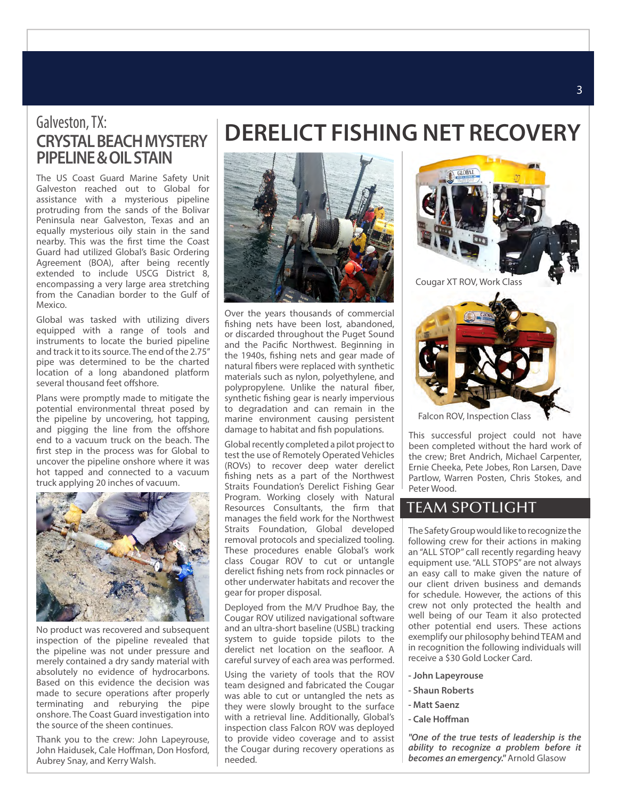#### Galveston, TX: **CRYSTAL BEACH MYSTERY PIPELINE & OIL STAIN**

The US Coast Guard Marine Safety Unit Galveston reached out to Global for assistance with a mysterious pipeline protruding from the sands of the Bolivar Peninsula near Galveston, Texas and an equally mysterious oily stain in the sand nearby. This was the first time the Coast Guard had utilized Global's Basic Ordering Agreement (BOA), after being recently extended to include USCG District 8, encompassing a very large area stretching from the Canadian border to the Gulf of Mexico.

Global was tasked with utilizing divers equipped with a range of tools and instruments to locate the buried pipeline and track it to its source. The end of the 2.75" pipe was determined to be the charted location of a long abandoned platform several thousand feet offshore.

Plans were promptly made to mitigate the potential environmental threat posed by the pipeline by uncovering, hot tapping, and pigging the line from the offshore end to a vacuum truck on the beach. The first step in the process was for Global to uncover the pipeline onshore where it was hot tapped and connected to a vacuum truck applying 20 inches of vacuum.



No product was recovered and subsequent inspection of the pipeline revealed that the pipeline was not under pressure and merely contained a dry sandy material with absolutely no evidence of hydrocarbons. Based on this evidence the decision was made to secure operations after properly terminating and reburying the pipe onshore. The Coast Guard investigation into the source of the sheen continues.

Thank you to the crew: John Lapeyrouse, John Haidusek, Cale Hoffman, Don Hosford, Aubrey Snay, and Kerry Walsh.





Over the years thousands of commercial fishing nets have been lost, abandoned, or discarded throughout the Puget Sound and the Pacific Northwest. Beginning in the 1940s, fishing nets and gear made of natural fibers were replaced with synthetic materials such as nylon, polyethylene, and polypropylene. Unlike the natural fiber, synthetic fishing gear is nearly impervious to degradation and can remain in the marine environment causing persistent damage to habitat and fish populations.

Global recently completed a pilot project to test the use of Remotely Operated Vehicles (ROVs) to recover deep water derelict fishing nets as a part of the Northwest Straits Foundation's Derelict Fishing Gear Program. Working closely with Natural Resources Consultants, the firm that manages the field work for the Northwest Straits Foundation, Global developed removal protocols and specialized tooling. These procedures enable Global's work class Cougar ROV to cut or untangle derelict fishing nets from rock pinnacles or other underwater habitats and recover the gear for proper disposal.

Deployed from the M/V Prudhoe Bay, the Cougar ROV utilized navigational software and an ultra-short baseline (USBL) tracking system to guide topside pilots to the derelict net location on the seafloor. A careful survey of each area was performed.

Using the variety of tools that the ROV team designed and fabricated the Cougar was able to cut or untangled the nets as they were slowly brought to the surface with a retrieval line. Additionally, Global's inspection class Falcon ROV was deployed to provide video coverage and to assist the Cougar during recovery operations as needed.



Falcon ROV, Inspection Class

This successful project could not have been completed without the hard work of the crew; Bret Andrich, Michael Carpenter, Ernie Cheeka, Pete Jobes, Ron Larsen, Dave Partlow, Warren Posten, Chris Stokes, and Peter Wood.

#### TEAM SPOTLIGHT

The Safety Group would like to recognize the following crew for their actions in making an "ALL STOP" call recently regarding heavy equipment use. "ALL STOPS" are not always an easy call to make given the nature of our client driven business and demands for schedule. However, the actions of this crew not only protected the health and well being of our Team it also protected other potential end users. These actions exemplify our philosophy behind TEAM and in recognition the following individuals will receive a \$30 Gold Locker Card.

- **John Lapeyrouse**
- **Shaun Roberts**
- **Matt Saenz**
- **Cale Homan**

*"One of the true tests of leadership is the ability to recognize a problem before it becomes an emergency."* Arnold Glasow